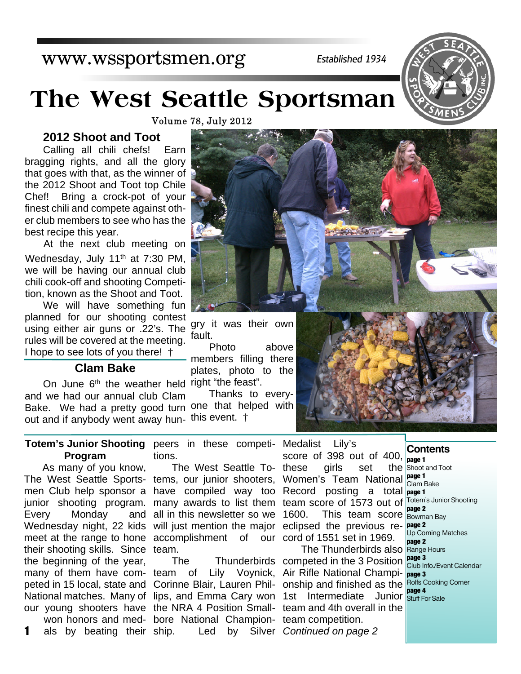# www.wssportsmen.org

*Established 1934*

# **The West Seattle Sportsman**

Volume 78, July 2012

# **2012 Shoot and Toot**

Calling all chili chefs! Earn bragging rights, and all the glory that goes with that, as the winner of the 2012 Shoot and Toot top Chile Chef! Bring a crock-pot of your finest chili and compete against other club members to see who has the best recipe this year.

At the next club meeting on Wednesday, July 11<sup>th</sup> at 7:30 PM, we will be having our annual club chili cook-off and shooting Competition, known as the Shoot and Toot.

We will have something fun planned for our shooting contest using either air guns or .22's. The rules will be covered at the meeting. I hope to see lots of you there! †

# **Clam Bake**

On June 6<sup>th</sup> the weather held right "the feast". Bake. We had a pretty good turn one that helped with out and if anybody went away hun- this event.  $\dagger$ and we had our annual club Clam

**Totem's Junior Shooting** peers in these competi-Medalist Lily's **Program** tions.

As many of you know, The West Seattle Sports-tems, our junior shooters, men Club help sponsor a junior shooting program. Every Monday and Wednesday night, 22 kids their shooting skills. Since team. the beginning of the year, many of them have com-team of Lily Voynick, Air Rifle National Champi-**page 3** peted in 15 local, state and Corinne Blair, Lauren Phil- onship and finished as the Rolfs Cooking Comer National matches. Many of lips, and Emma Cary won 1st Intermediate Junior **page 4** our young shooters have the NRA 4 Position Small- team and 4th overall in the

als by beating their ship.

meet at the range to hone accomplishment of our cord of 1551 set in 1969. The West Seattle Tohave compiled way too Record posting a total **page 1** many awards to list them team score of 1573 out of Totem's Junior Shooting all in this newsletter so we 1600. will just mention the major eclipsed the previous re- **page 2** 

won honors and med-bore National Champion-team competition. 1 als by beating their ship. Led by Silver Continued on page 2

score of 398 out of 400, these girls set the Women's Team National **page 1** 1600. This team score **page 2**

The Thunderbirds competed in the 3 Position **page 3** The Thunderbirds also Range Hours

**Contents page 1**

the Shoot and Toot Clam Bake Bowman Bay Up Coming Matches **page 2** Club Info./Event Calendar Stuff For Sale





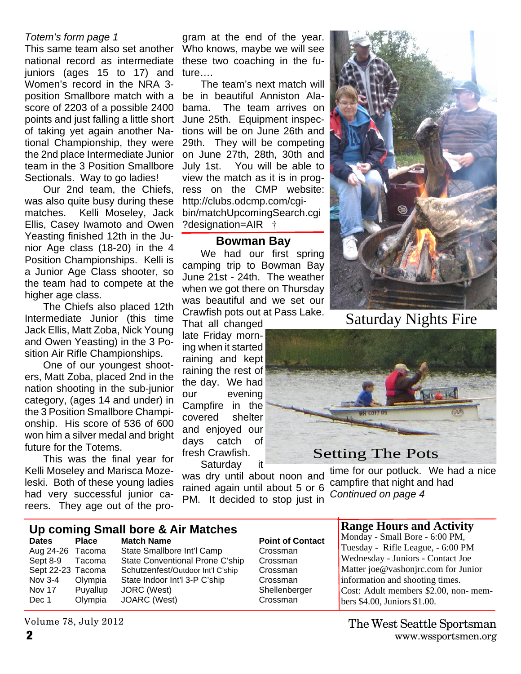## *Totem's form page 1*

This same team also set another national record as intermediate juniors (ages 15 to 17) and Women's record in the NRA 3 position Smallbore match with a score of 2203 of a possible 2400 points and just falling a little short of taking yet again another National Championship, they were the 2nd place Intermediate Junior team in the 3 Position Smallbore Sectionals. Way to go ladies!

Our 2nd team, the Chiefs, was also quite busy during these matches. Kelli Moseley, Jack Ellis, Casey Iwamoto and Owen Yeasting finished 12th in the Junior Age class (18-20) in the 4 Position Championships. Kelli is a Junior Age Class shooter, so the team had to compete at the higher age class.

The Chiefs also placed 12th Intermediate Junior (this time Jack Ellis, Matt Zoba, Nick Young and Owen Yeasting) in the 3 Position Air Rifle Championships.

One of our youngest shooters, Matt Zoba, placed 2nd in the nation shooting in the sub-junior category, (ages 14 and under) in the 3 Position Smallbore Championship. His score of 536 of 600 won him a silver medal and bright future for the Totems.

This was the final year for Kelli Moseley and Marisca Mozeleski. Both of these young ladies had very successful junior careers. They age out of the program at the end of the year. Who knows, maybe we will see these two coaching in the future….

The team's next match will be in beautiful Anniston Alabama. The team arrives on June 25th. Equipment inspections will be on June 26th and 29th. They will be competing on June 27th, 28th, 30th and July 1st. You will be able to view the match as it is in progress on the CMP website: http://clubs.odcmp.com/cgibin/matchUpcomingSearch.cgi ?designation=AIR †

# **Bowman Bay**

We had our first spring camping trip to Bowman Bay June 21st - 24th. The weather when we got there on Thursday was beautiful and we set our Crawfish pots out at Pass Lake.

That all changed late Friday morning when it started raining and kept raining the rest of the day. We had our evening Campfire in the covered shelter and enjoyed our days catch of fresh Crawfish.

Saturday it

was dry until about noon and rained again until about 5 or 6 PM. It decided to stop just in



Saturday Nights Fire

# Setting The Pots

time for our potluck. We had a nice campfire that night and had *Continued on page 4*

# **Up coming Small bore & Air Matches**

**Dates** Place Match Name **Point of Contact** Dec 1 Olympia JOARC (West) Crossman

Aug 24-26 Tacoma State Smallbore Int'l Camp Crossman Sept 8-9 Tacoma State Conventional Prone C'ship Crossman Sept 22-23 Tacoma Schutzenfest/Outdoor Int'l C'ship Crossman Nov 3-4 Olympia State Indoor Int'l 3-P C'ship Crossman Nov 17 Puyallup JORC (West) Shellenberger

# **Range Hours and Activity**

Monday - Small Bore - 6:00 PM, Tuesday - Rifle League, - 6:00 PM Wednesday - Juniors - Contact Joe Matter joe@vashonjrc.com for Junior information and shooting times. Cost: Adult members \$2.00, non- members \$4.00, Juniors \$1.00.

Volume 78, July 2012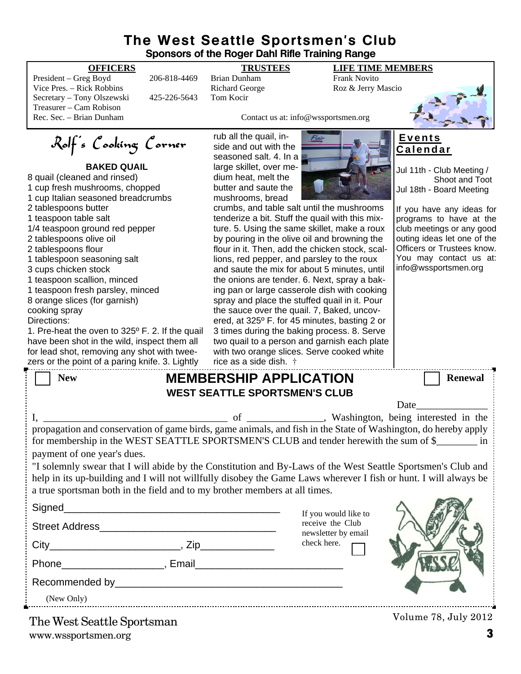# **The West Seattle Sportsmen's Club Sponsors of the Roger Dahl Rifle Training Range**

**BAKED QUAIL**

Rolf's Cooking Corner

1. Pre-heat the oven to 325º F. 2. If the quail have been shot in the wild, inspect them all for lead shot, removing any shot with twee-

President – Greg Boyd 206-818-4469 Brian Dunham Frank Novito<br>
Vice Pres. – Rick Robbins Richard George Roz & Jerry N Vice Pres. – Rick Robbins **Richard George** Roz & Jerry Mascio Secretary – Tony Olszewski 425-226-5643 Tom Kocir Treasurer – Cam Robison

8 quail (cleaned and rinsed) 1 cup fresh mushrooms, chopped 1 cup Italian seasoned breadcrumbs

1/4 teaspoon ground red pepper

1 tablespoon seasoning salt

1 teaspoon scallion, minced 1 teaspoon fresh parsley, minced 8 orange slices (for garnish)

2 tablespoons butter 1 teaspoon table salt

2 tablespoons olive oil 2 tablespoons flour

3 cups chicken stock

cooking spray Directions:

**OFFICERS TRUSTEES LIFE TIME MEMBERS**



Contact us at: info@wssportsmen.org

rub all the quail, inside and out with the seasoned salt. 4. In a large skillet, over medium heat, melt the butter and saute the mushrooms, bread



crumbs, and table salt until the mushrooms tenderize a bit. Stuff the quail with this mixture. 5. Using the same skillet, make a roux by pouring in the olive oil and browning the flour in it. Then, add the chicken stock, scallions, red pepper, and parsley to the roux and saute the mix for about 5 minutes, until the onions are tender. 6. Next, spray a baking pan or large casserole dish with cooking spray and place the stuffed quail in it. Pour the sauce over the quail. 7, Baked, uncovered, at 325º F. for 45 minutes, basting 2 or 3 times during the baking process. 8. Serve two quail to a person and garnish each plate with two orange slices. Serve cooked white

# **E v e n t s C a l e n d a r**

Jul 11th - Club Meeting / Shoot and Toot Jul 18th - Board Meeting

If you have any ideas for programs to have at the club meetings or any good outing ideas let one of the Officers or Trustees know. You may contact us at: info@wssportsmen.org

|                             | zers or the point of a paring knife. 3. Lightly $\quad$ rice as a side dish. $\dagger$                                                                                                                                                                                                                         |                                         |                      |
|-----------------------------|----------------------------------------------------------------------------------------------------------------------------------------------------------------------------------------------------------------------------------------------------------------------------------------------------------------|-----------------------------------------|----------------------|
| <b>New</b>                  | <b>MEMBERSHIP APPLICATION</b>                                                                                                                                                                                                                                                                                  |                                         | <b>Renewal</b>       |
|                             | <b>WEST SEATTLE SPORTSMEN'S CLUB</b>                                                                                                                                                                                                                                                                           |                                         |                      |
|                             |                                                                                                                                                                                                                                                                                                                |                                         | Date                 |
| payment of one year's dues. | propagation and conservation of game birds, game animals, and fish in the State of Washington, do hereby apply<br>for membership in the WEST SEATTLE SPORTSMEN'S CLUB and tender herewith the sum of \$                                                                                                        |                                         |                      |
|                             | "I solemnly swear that I will abide by the Constitution and By-Laws of the West Seattle Sportsmen's Club and<br>help in its up-building and I will not willfully disobey the Game Laws wherever I fish or hunt. I will always be<br>a true sportsman both in the field and to my brother members at all times. |                                         |                      |
|                             |                                                                                                                                                                                                                                                                                                                | If you would like to                    |                      |
|                             |                                                                                                                                                                                                                                                                                                                | receive the Club<br>newsletter by email |                      |
|                             |                                                                                                                                                                                                                                                                                                                | check here.                             |                      |
|                             |                                                                                                                                                                                                                                                                                                                |                                         |                      |
|                             |                                                                                                                                                                                                                                                                                                                |                                         |                      |
|                             | (New Only)                                                                                                                                                                                                                                                                                                     |                                         |                      |
| The West Seattle Sportsman  |                                                                                                                                                                                                                                                                                                                |                                         | Volume 78, July 2012 |

www.wssportsmen.org **3**